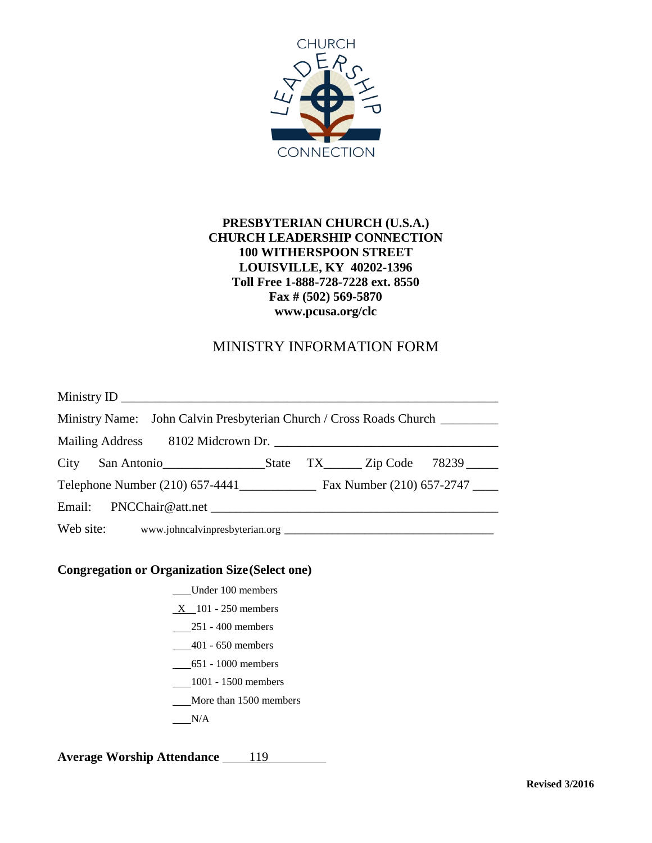

### **PRESBYTERIAN CHURCH (U.S.A.) CHURCH LEADERSHIP CONNECTION 100 WITHERSPOON STREET LOUISVILLE, KY 40202-1396 Toll Free 1-888-728-7228 ext. 8550 Fax # (502) 569-5870 www.pcusa.org/clc**

## MINISTRY INFORMATION FORM

| Ministry Name: John Calvin Presbyterian Church / Cross Roads Church ____________ |  |  |  |  |  |
|----------------------------------------------------------------------------------|--|--|--|--|--|
| Mailing Address 8102 Midcrown Dr.                                                |  |  |  |  |  |
|                                                                                  |  |  |  |  |  |
|                                                                                  |  |  |  |  |  |
|                                                                                  |  |  |  |  |  |
|                                                                                  |  |  |  |  |  |

#### **Congregation or Organization Size(Select one)**

- Under 100 members
- $X_1$  101 250 members
- 251 400 members
- 401 650 members
- 651 1000 members
- 1001 1500 members
- More than 1500 members
- $N/A$

**Average Worship Attendance** 119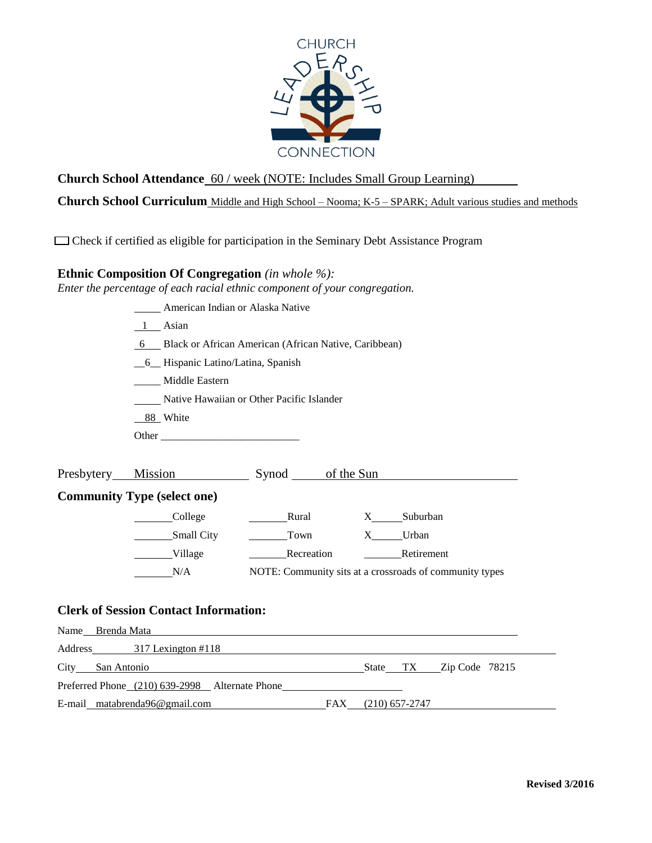

**Church School Attendance** 60 / week (NOTE: Includes Small Group Learning)

**Church School Curriculum** Middle and High School – Nooma; K-5 – SPARK; Adult various studies and methods

Check if certified as eligible for participation in the Seminary Debt Assistance Program

#### **Ethnic Composition Of Congregation** *(in whole %):*

Preferred Phone (210) 639-2998 Alternate Phone

E-mail matabrenda96@gmail.com FAX (210) 657-2747

*Enter the percentage of each racial ethnic component of your congregation.*

|      | American Indian or Alaska Native                        |                                           |                                                         |  |  |  |  |  |
|------|---------------------------------------------------------|-------------------------------------------|---------------------------------------------------------|--|--|--|--|--|
|      | 1 Asian                                                 |                                           |                                                         |  |  |  |  |  |
|      | 6 Black or African American (African Native, Caribbean) |                                           |                                                         |  |  |  |  |  |
|      | 6 Hispanic Latino/Latina, Spanish                       |                                           |                                                         |  |  |  |  |  |
|      | Middle Eastern                                          |                                           |                                                         |  |  |  |  |  |
|      |                                                         | Native Hawaiian or Other Pacific Islander |                                                         |  |  |  |  |  |
|      | 88 White                                                |                                           |                                                         |  |  |  |  |  |
|      |                                                         |                                           |                                                         |  |  |  |  |  |
|      |                                                         |                                           |                                                         |  |  |  |  |  |
|      |                                                         |                                           | Presbytery Mission Synod of the Sun                     |  |  |  |  |  |
|      | <b>Community Type (select one)</b>                      |                                           |                                                         |  |  |  |  |  |
|      | College                                                 |                                           | Rural X Suburban                                        |  |  |  |  |  |
|      | Small City                                              | Town X Urban                              |                                                         |  |  |  |  |  |
|      | Village                                                 |                                           | Recreation Retirement                                   |  |  |  |  |  |
|      | N/A                                                     |                                           | NOTE: Community sits at a crossroads of community types |  |  |  |  |  |
|      |                                                         |                                           |                                                         |  |  |  |  |  |
|      | <b>Clerk of Session Contact Information:</b>            |                                           |                                                         |  |  |  |  |  |
|      | Name Brenda Mata                                        |                                           |                                                         |  |  |  |  |  |
|      |                                                         |                                           |                                                         |  |  |  |  |  |
|      | Address 317 Lexington #118                              |                                           |                                                         |  |  |  |  |  |
| City | San Antonio                                             |                                           | <b>State</b><br>TX<br>Zip Code 78215                    |  |  |  |  |  |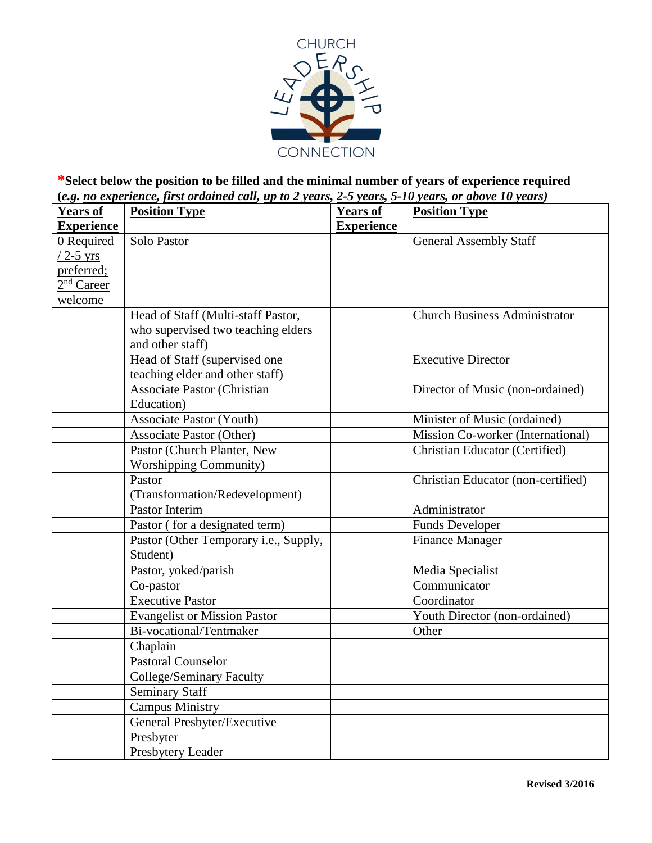

### **\*Select below the position to be filled and the minimal number of years of experience required (***e.g. no experience, first ordained call, up to 2 years, 2-5 years, 5-10 years, or above 10 years)*

| <u>ັດເລີ</u><br><b>Years of</b> | <b>Position Type</b>                  | <b>Years of</b>   | <b>Position Type</b>                  |
|---------------------------------|---------------------------------------|-------------------|---------------------------------------|
| <b>Experience</b>               |                                       | <b>Experience</b> |                                       |
| 0 Required                      | Solo Pastor                           |                   | <b>General Assembly Staff</b>         |
| $/2$ -5 yrs                     |                                       |                   |                                       |
| preferred;                      |                                       |                   |                                       |
| 2 <sup>nd</sup> Career          |                                       |                   |                                       |
| welcome                         |                                       |                   |                                       |
|                                 | Head of Staff (Multi-staff Pastor,    |                   | <b>Church Business Administrator</b>  |
|                                 | who supervised two teaching elders    |                   |                                       |
|                                 | and other staff)                      |                   |                                       |
|                                 | Head of Staff (supervised one         |                   | <b>Executive Director</b>             |
|                                 | teaching elder and other staff)       |                   |                                       |
|                                 | <b>Associate Pastor (Christian</b>    |                   | Director of Music (non-ordained)      |
|                                 | Education)                            |                   |                                       |
|                                 | <b>Associate Pastor (Youth)</b>       |                   | Minister of Music (ordained)          |
|                                 | <b>Associate Pastor (Other)</b>       |                   | Mission Co-worker (International)     |
|                                 | Pastor (Church Planter, New           |                   | <b>Christian Educator (Certified)</b> |
|                                 | <b>Worshipping Community)</b>         |                   |                                       |
|                                 | Pastor                                |                   | Christian Educator (non-certified)    |
|                                 | (Transformation/Redevelopment)        |                   |                                       |
|                                 | Pastor Interim                        |                   | Administrator                         |
|                                 | Pastor (for a designated term)        |                   | <b>Funds Developer</b>                |
|                                 | Pastor (Other Temporary i.e., Supply, |                   | <b>Finance Manager</b>                |
|                                 | Student)                              |                   |                                       |
|                                 | Pastor, yoked/parish                  |                   | Media Specialist                      |
|                                 | Co-pastor                             |                   | Communicator                          |
|                                 | <b>Executive Pastor</b>               |                   | Coordinator                           |
|                                 | <b>Evangelist or Mission Pastor</b>   |                   | Youth Director (non-ordained)         |
|                                 | Bi-vocational/Tentmaker               |                   | Other                                 |
|                                 | Chaplain                              |                   |                                       |
|                                 | <b>Pastoral Counselor</b>             |                   |                                       |
|                                 | College/Seminary Faculty              |                   |                                       |
|                                 | <b>Seminary Staff</b>                 |                   |                                       |
|                                 | <b>Campus Ministry</b>                |                   |                                       |
|                                 | General Presbyter/Executive           |                   |                                       |
|                                 | Presbyter                             |                   |                                       |
|                                 | Presbytery Leader                     |                   |                                       |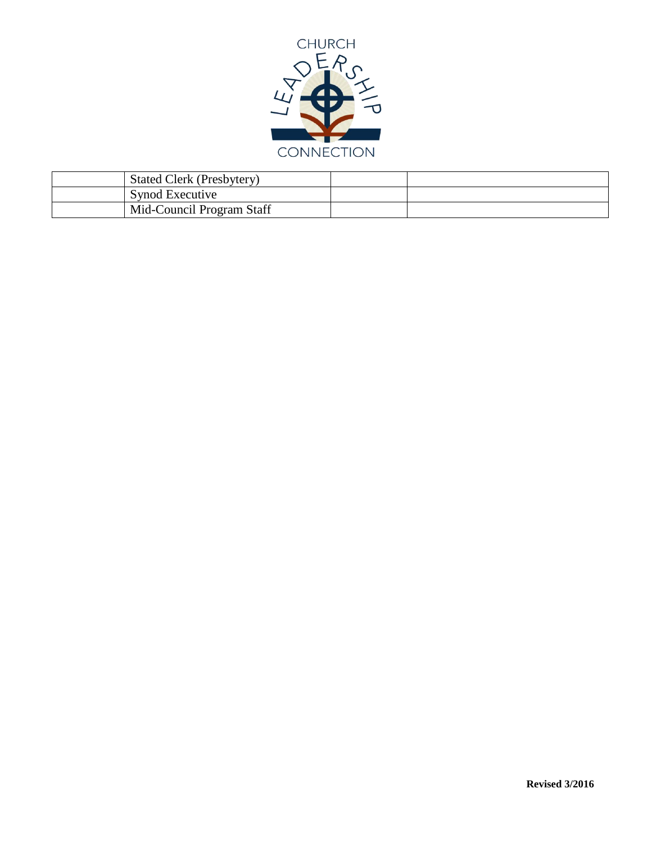

| <b>Stated Clerk (Presbytery)</b> |  |
|----------------------------------|--|
| Synod Executive                  |  |
| Mid-Council Program Staff        |  |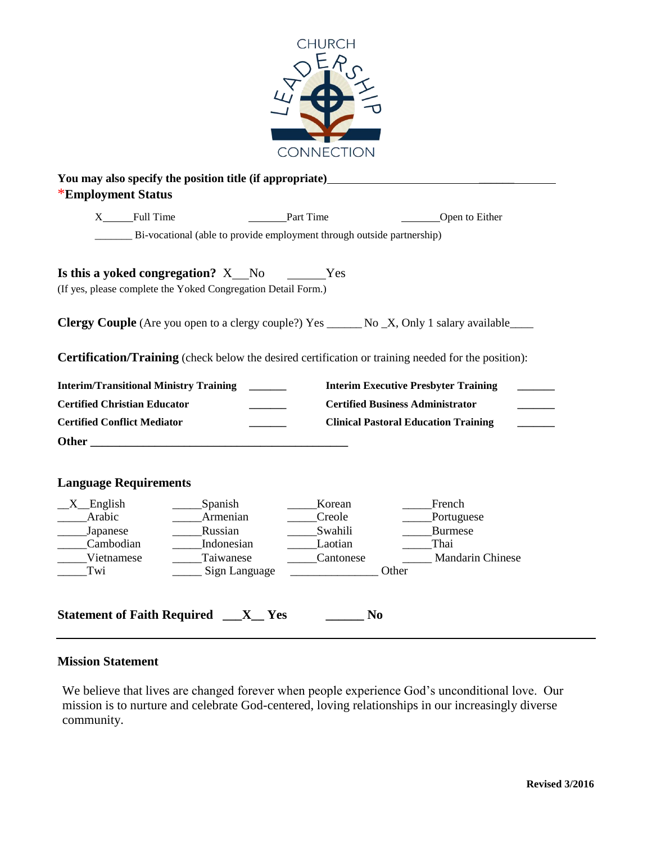

| X______Full Time                    | Part Time                                                                                                                                                                                                                     |                | Open to Either                                                                                             |
|-------------------------------------|-------------------------------------------------------------------------------------------------------------------------------------------------------------------------------------------------------------------------------|----------------|------------------------------------------------------------------------------------------------------------|
|                                     | Bi-vocational (able to provide employment through outside partnership)                                                                                                                                                        |                |                                                                                                            |
|                                     | Is this a yoked congregation? X No No Nes<br>(If yes, please complete the Yoked Congregation Detail Form.)                                                                                                                    |                |                                                                                                            |
|                                     |                                                                                                                                                                                                                               |                | <b>Clergy Couple</b> (Are you open to a clergy couple?) Yes _______ No _X, Only 1 salary available____     |
|                                     |                                                                                                                                                                                                                               |                | <b>Certification/Training</b> (check below the desired certification or training needed for the position): |
|                                     | <b>Interim/Transitional Ministry Training _______</b>                                                                                                                                                                         |                | <b>Interim Executive Presbyter Training</b>                                                                |
|                                     |                                                                                                                                                                                                                               |                |                                                                                                            |
| <b>Certified Christian Educator</b> |                                                                                                                                                                                                                               |                | <b>Certified Business Administrator</b>                                                                    |
| <b>Certified Conflict Mediator</b>  |                                                                                                                                                                                                                               |                | <b>Clinical Pastoral Education Training</b>                                                                |
|                                     | Other and the contract of the contract of the contract of the contract of the contract of the contract of the contract of the contract of the contract of the contract of the contract of the contract of the contract of the |                |                                                                                                            |
| <b>Language Requirements</b>        |                                                                                                                                                                                                                               |                |                                                                                                            |
| $X$ English                         | ______Spanish                                                                                                                                                                                                                 | Korean         | French                                                                                                     |
| Arabic                              | _____Armenian                                                                                                                                                                                                                 | Creole         | Portuguese                                                                                                 |
| ______Japanese                      | ________Russian                                                                                                                                                                                                               | _______Swahili | Burmese                                                                                                    |
| Cambodian                           | ______ Indonesian                                                                                                                                                                                                             | Laotian        | Thai                                                                                                       |
| Vietnamese<br>Twi                   | __Taiwanese<br>Sign Language                                                                                                                                                                                                  | Cantonese      | <b>Mandarin Chinese</b><br>Other                                                                           |

### **Mission Statement**

We believe that lives are changed forever when people experience God's unconditional love. Our mission is to nurture and celebrate God-centered, loving relationships in our increasingly diverse community.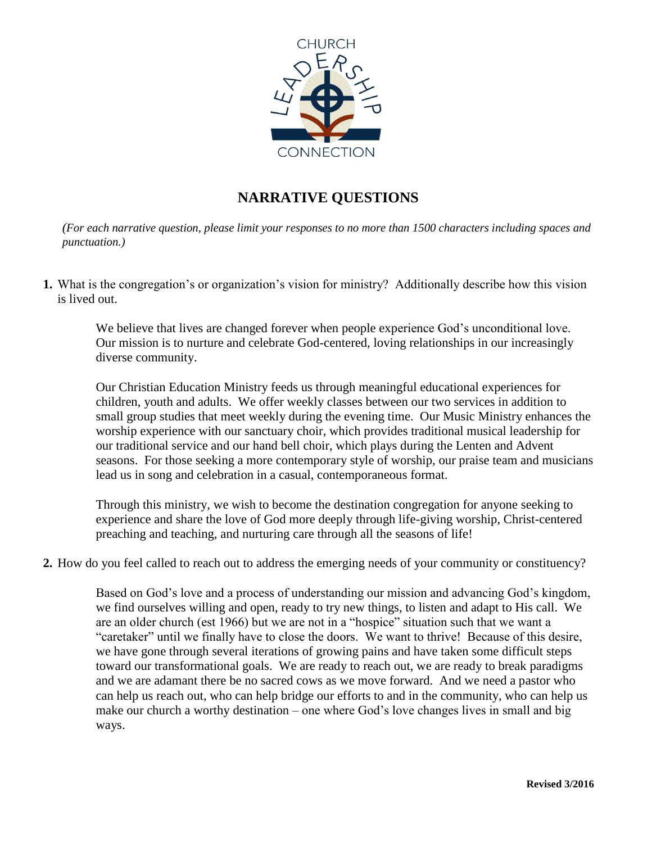

# **NARRATIVE QUESTIONS**

*(For each narrative question, please limit your responses to no more than 1500 characters including spaces and punctuation.)*

**1.** What is the congregation's or organization's vision for ministry? Additionally describe how this vision is lived out.

We believe that lives are changed forever when people experience God's unconditional love. Our mission is to nurture and celebrate God-centered, loving relationships in our increasingly diverse community.

Our Christian Education Ministry feeds us through meaningful educational experiences for children, youth and adults. We offer weekly classes between our two services in addition to small group studies that meet weekly during the evening time. Our Music Ministry enhances the worship experience with our sanctuary choir, which provides traditional musical leadership for our traditional service and our hand bell choir, which plays during the Lenten and Advent seasons. For those seeking a more contemporary style of worship, our praise team and musicians lead us in song and celebration in a casual, contemporaneous format.

Through this ministry, we wish to become the destination congregation for anyone seeking to experience and share the love of God more deeply through life-giving worship, Christ-centered preaching and teaching, and nurturing care through all the seasons of life!

**2.** How do you feel called to reach out to address the emerging needs of your community or constituency?

Based on God's love and a process of understanding our mission and advancing God's kingdom, we find ourselves willing and open, ready to try new things, to listen and adapt to His call. We are an older church (est 1966) but we are not in a "hospice" situation such that we want a "caretaker" until we finally have to close the doors. We want to thrive! Because of this desire, we have gone through several iterations of growing pains and have taken some difficult steps toward our transformational goals. We are ready to reach out, we are ready to break paradigms and we are adamant there be no sacred cows as we move forward. And we need a pastor who can help us reach out, who can help bridge our efforts to and in the community, who can help us make our church a worthy destination – one where God's love changes lives in small and big ways.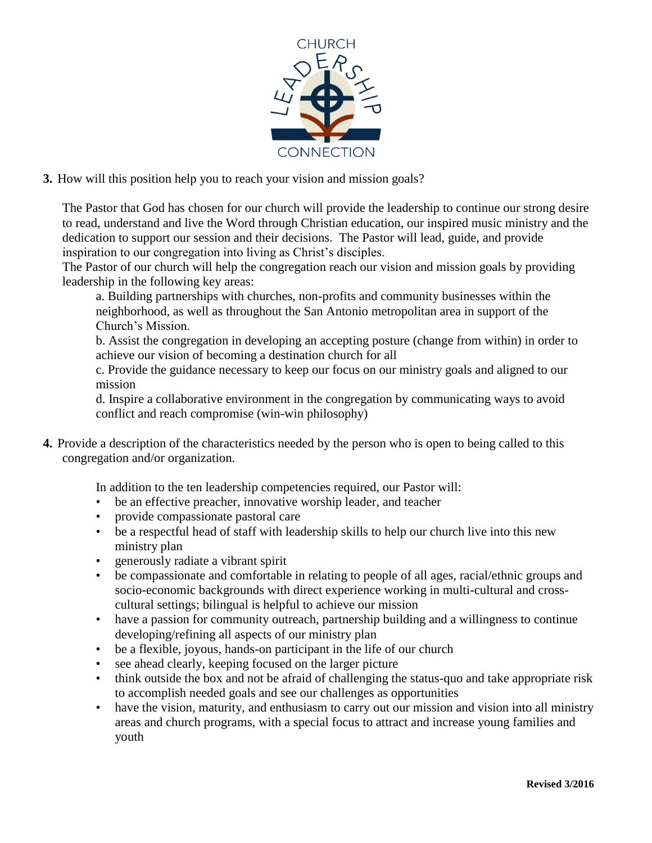

**3.** How will this position help you to reach your vision and mission goals?

The Pastor that God has chosen for our church will provide the leadership to continue our strong desire to read, understand and live the Word through Christian education, our inspired music ministry and the dedication to support our session and their decisions. The Pastor will lead, guide, and provide inspiration to our congregation into living as Christ's disciples.

The Pastor of our church will help the congregation reach our vision and mission goals by providing leadership in the following key areas:

a. Building partnerships with churches, non-profits and community businesses within the neighborhood, as well as throughout the San Antonio metropolitan area in support of the Church's Mission.

b. Assist the congregation in developing an accepting posture (change from within) in order to achieve our vision of becoming a destination church for all

c. Provide the guidance necessary to keep our focus on our ministry goals and aligned to our mission

d. Inspire a collaborative environment in the congregation by communicating ways to avoid conflict and reach compromise (win-win philosophy)

**4.** Provide a description of the characteristics needed by the person who is open to being called to this congregation and/or organization.

In addition to the ten leadership competencies required, our Pastor will:

- be an effective preacher, innovative worship leader, and teacher
- provide compassionate pastoral care
- be a respectful head of staff with leadership skills to help our church live into this new ministry plan
- generously radiate a vibrant spirit
- be compassionate and comfortable in relating to people of all ages, racial/ethnic groups and socio-economic backgrounds with direct experience working in multi-cultural and crosscultural settings; bilingual is helpful to achieve our mission
- have a passion for community outreach, partnership building and a willingness to continue developing/refining all aspects of our ministry plan
- be a flexible, joyous, hands-on participant in the life of our church
- see ahead clearly, keeping focused on the larger picture
- think outside the box and not be afraid of challenging the status-quo and take appropriate risk to accomplish needed goals and see our challenges as opportunities
- have the vision, maturity, and enthusiasm to carry out our mission and vision into all ministry areas and church programs, with a special focus to attract and increase young families and youth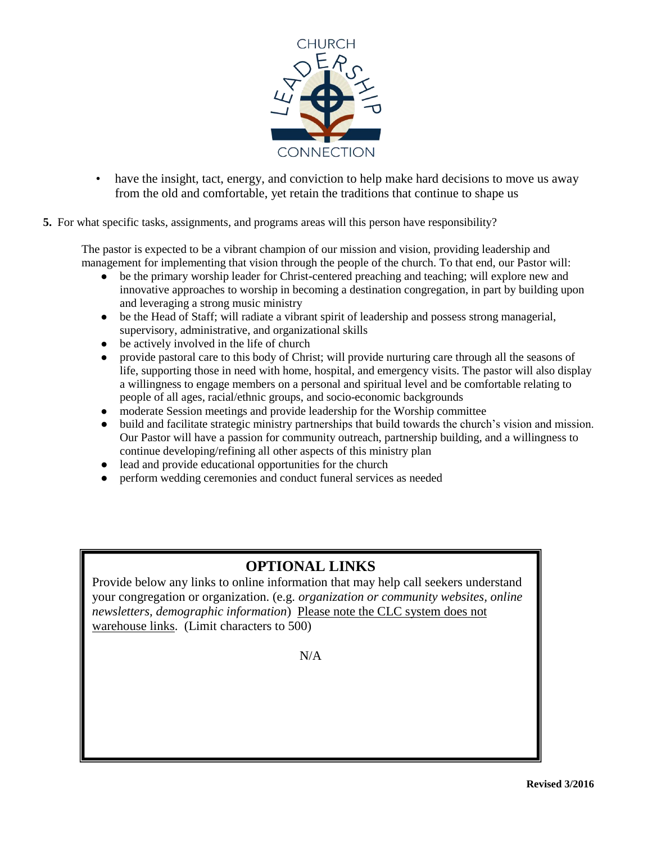

- have the insight, tact, energy, and conviction to help make hard decisions to move us away from the old and comfortable, yet retain the traditions that continue to shape us
- **5.** For what specific tasks, assignments, and programs areas will this person have responsibility?

The pastor is expected to be a vibrant champion of our mission and vision, providing leadership and management for implementing that vision through the people of the church. To that end, our Pastor will:

- be the primary worship leader for Christ-centered preaching and teaching; will explore new and innovative approaches to worship in becoming a destination congregation, in part by building upon and leveraging a strong music ministry
- be the Head of Staff; will radiate a vibrant spirit of leadership and possess strong managerial, supervisory, administrative, and organizational skills
- be actively involved in the life of church
- provide pastoral care to this body of Christ; will provide nurturing care through all the seasons of life, supporting those in need with home, hospital, and emergency visits. The pastor will also display a willingness to engage members on a personal and spiritual level and be comfortable relating to people of all ages, racial/ethnic groups, and socio-economic backgrounds
- moderate Session meetings and provide leadership for the Worship committee
- build and facilitate strategic ministry partnerships that build towards the church's vision and mission. Our Pastor will have a passion for community outreach, partnership building, and a willingness to continue developing/refining all other aspects of this ministry plan
- lead and provide educational opportunities for the church
- perform wedding ceremonies and conduct funeral services as needed

# **OPTIONAL LINKS**

Provide below any links to online information that may help call seekers understand your congregation or organization. (e.g. *organization or community websites, online newsletters, demographic information*) Please note the CLC system does not warehouse links. (Limit characters to 500)

N/A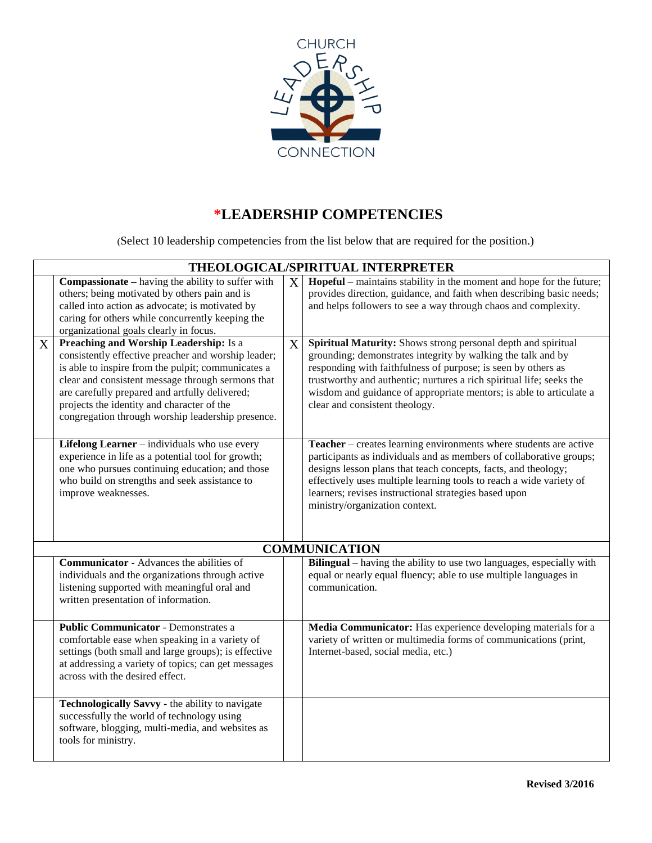

# **\*LEADERSHIP COMPETENCIES**

(Select 10 leadership competencies from the list below that are required for the position.)

|                | THEOLOGICAL/SPIRITUAL INTERPRETER                                                                                                                                                                                                                                                                                                                                    |                |                                                                                                                                                                                                                                                                                                                                                                                 |  |  |
|----------------|----------------------------------------------------------------------------------------------------------------------------------------------------------------------------------------------------------------------------------------------------------------------------------------------------------------------------------------------------------------------|----------------|---------------------------------------------------------------------------------------------------------------------------------------------------------------------------------------------------------------------------------------------------------------------------------------------------------------------------------------------------------------------------------|--|--|
|                | <b>Compassionate</b> – having the ability to suffer with<br>others; being motivated by others pain and is<br>called into action as advocate; is motivated by<br>caring for others while concurrently keeping the<br>organizational goals clearly in focus.                                                                                                           | $\overline{X}$ | Hopeful – maintains stability in the moment and hope for the future;<br>provides direction, guidance, and faith when describing basic needs;<br>and helps followers to see a way through chaos and complexity.                                                                                                                                                                  |  |  |
| X <sup>1</sup> | <b>Preaching and Worship Leadership:</b> Is a<br>consistently effective preacher and worship leader;<br>is able to inspire from the pulpit; communicates a<br>clear and consistent message through sermons that<br>are carefully prepared and artfully delivered;<br>projects the identity and character of the<br>congregation through worship leadership presence. | X              | Spiritual Maturity: Shows strong personal depth and spiritual<br>grounding; demonstrates integrity by walking the talk and by<br>responding with faithfulness of purpose; is seen by others as<br>trustworthy and authentic; nurtures a rich spiritual life; seeks the<br>wisdom and guidance of appropriate mentors; is able to articulate a<br>clear and consistent theology. |  |  |
|                | Lifelong Learner - individuals who use every<br>experience in life as a potential tool for growth;<br>one who pursues continuing education; and those<br>who build on strengths and seek assistance to<br>improve weaknesses.                                                                                                                                        |                | Teacher – creates learning environments where students are active<br>participants as individuals and as members of collaborative groups;<br>designs lesson plans that teach concepts, facts, and theology;<br>effectively uses multiple learning tools to reach a wide variety of<br>learners; revises instructional strategies based upon<br>ministry/organization context.    |  |  |
|                |                                                                                                                                                                                                                                                                                                                                                                      |                | <b>COMMUNICATION</b>                                                                                                                                                                                                                                                                                                                                                            |  |  |
|                | <b>Communicator</b> - Advances the abilities of<br>individuals and the organizations through active<br>listening supported with meaningful oral and<br>written presentation of information.                                                                                                                                                                          |                | Bilingual – having the ability to use two languages, especially with<br>equal or nearly equal fluency; able to use multiple languages in<br>communication.                                                                                                                                                                                                                      |  |  |
|                | <b>Public Communicator - Demonstrates a</b><br>comfortable ease when speaking in a variety of<br>settings (both small and large groups); is effective<br>at addressing a variety of topics; can get messages<br>across with the desired effect.                                                                                                                      |                | Media Communicator: Has experience developing materials for a<br>variety of written or multimedia forms of communications (print,<br>Internet-based, social media, etc.)                                                                                                                                                                                                        |  |  |
|                | Technologically Savvy - the ability to navigate<br>successfully the world of technology using<br>software, blogging, multi-media, and websites as<br>tools for ministry.                                                                                                                                                                                             |                |                                                                                                                                                                                                                                                                                                                                                                                 |  |  |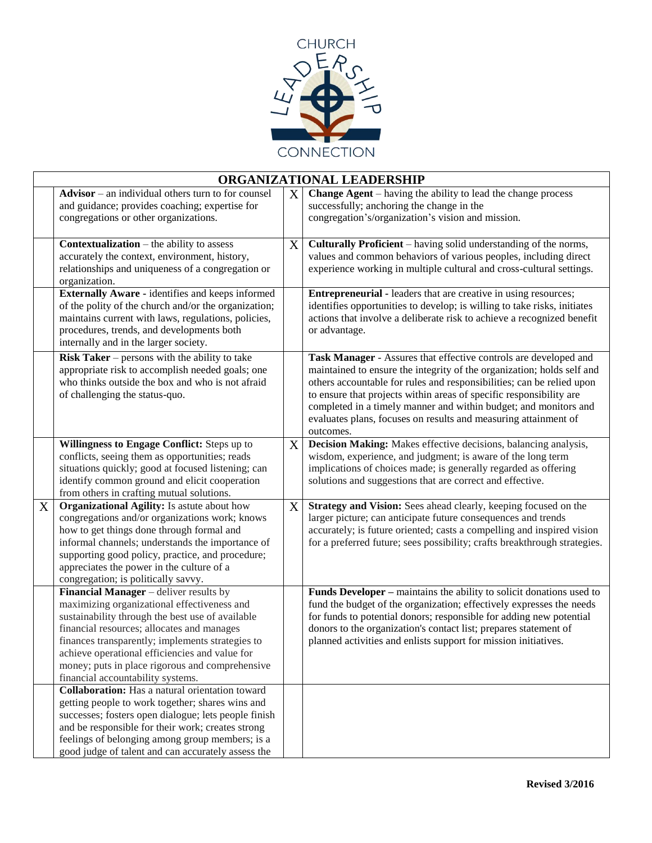

|                   | ORGANIZATIONAL LEADERSHIP                                                                                                                                                                                                                                                                                                                                                             |   |                                                                                                                                                                                                                                                                                                                                                                                                                                                |  |  |  |
|-------------------|---------------------------------------------------------------------------------------------------------------------------------------------------------------------------------------------------------------------------------------------------------------------------------------------------------------------------------------------------------------------------------------|---|------------------------------------------------------------------------------------------------------------------------------------------------------------------------------------------------------------------------------------------------------------------------------------------------------------------------------------------------------------------------------------------------------------------------------------------------|--|--|--|
|                   | Advisor – an individual others turn to for counsel<br>and guidance; provides coaching; expertise for<br>congregations or other organizations.                                                                                                                                                                                                                                         | X | <b>Change Agent</b> – having the ability to lead the change process<br>successfully; anchoring the change in the<br>congregation's/organization's vision and mission.                                                                                                                                                                                                                                                                          |  |  |  |
|                   | <b>Contextualization</b> – the ability to assess<br>accurately the context, environment, history,<br>relationships and uniqueness of a congregation or<br>organization.                                                                                                                                                                                                               | X | Culturally Proficient - having solid understanding of the norms,<br>values and common behaviors of various peoples, including direct<br>experience working in multiple cultural and cross-cultural settings.                                                                                                                                                                                                                                   |  |  |  |
|                   | <b>Externally Aware - identifies and keeps informed</b><br>of the polity of the church and/or the organization;<br>maintains current with laws, regulations, policies,<br>procedures, trends, and developments both<br>internally and in the larger society.                                                                                                                          |   | <b>Entrepreneurial - leaders that are creative in using resources;</b><br>identifies opportunities to develop; is willing to take risks, initiates<br>actions that involve a deliberate risk to achieve a recognized benefit<br>or advantage.                                                                                                                                                                                                  |  |  |  |
|                   | <b>Risk Taker</b> – persons with the ability to take<br>appropriate risk to accomplish needed goals; one<br>who thinks outside the box and who is not afraid<br>of challenging the status-quo.                                                                                                                                                                                        |   | Task Manager - Assures that effective controls are developed and<br>maintained to ensure the integrity of the organization; holds self and<br>others accountable for rules and responsibilities; can be relied upon<br>to ensure that projects within areas of specific responsibility are<br>completed in a timely manner and within budget; and monitors and<br>evaluates plans, focuses on results and measuring attainment of<br>outcomes. |  |  |  |
|                   | Willingness to Engage Conflict: Steps up to<br>conflicts, seeing them as opportunities; reads<br>situations quickly; good at focused listening; can<br>identify common ground and elicit cooperation<br>from others in crafting mutual solutions.                                                                                                                                     | X | Decision Making: Makes effective decisions, balancing analysis,<br>wisdom, experience, and judgment; is aware of the long term<br>implications of choices made; is generally regarded as offering<br>solutions and suggestions that are correct and effective.                                                                                                                                                                                 |  |  |  |
| $X_{\mathcal{C}}$ | Organizational Agility: Is astute about how<br>congregations and/or organizations work; knows<br>how to get things done through formal and<br>informal channels; understands the importance of<br>supporting good policy, practice, and procedure;<br>appreciates the power in the culture of a<br>congregation; is politically savvy.                                                | X | Strategy and Vision: Sees ahead clearly, keeping focused on the<br>larger picture; can anticipate future consequences and trends<br>accurately; is future oriented; casts a compelling and inspired vision<br>for a preferred future; sees possibility; crafts breakthrough strategies.                                                                                                                                                        |  |  |  |
|                   | Financial Manager - deliver results by<br>maximizing organizational effectiveness and<br>sustainability through the best use of available<br>financial resources; allocates and manages<br>finances transparently; implements strategies to<br>achieve operational efficiencies and value for<br>money; puts in place rigorous and comprehensive<br>financial accountability systems. |   | Funds Developer - maintains the ability to solicit donations used to<br>fund the budget of the organization; effectively expresses the needs<br>for funds to potential donors; responsible for adding new potential<br>donors to the organization's contact list; prepares statement of<br>planned activities and enlists support for mission initiatives.                                                                                     |  |  |  |
|                   | <b>Collaboration:</b> Has a natural orientation toward<br>getting people to work together; shares wins and<br>successes; fosters open dialogue; lets people finish<br>and be responsible for their work; creates strong<br>feelings of belonging among group members; is a<br>good judge of talent and can accurately assess the                                                      |   |                                                                                                                                                                                                                                                                                                                                                                                                                                                |  |  |  |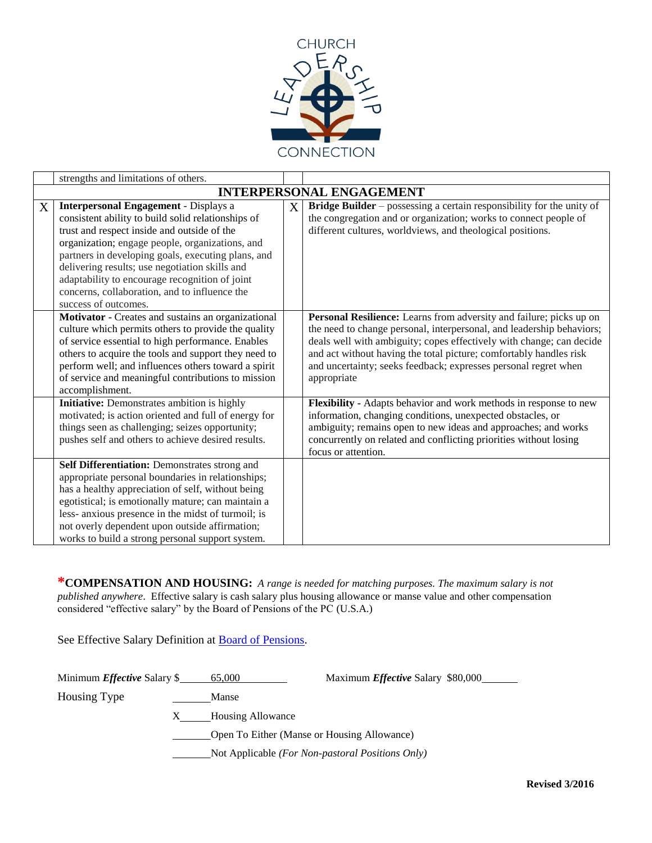

|   | strengths and limitations of others.                                                                                                                                                                                                                                                                                                                                                                                                    |   |                                                                                                                                                                                                                                                                                                                                                                              |
|---|-----------------------------------------------------------------------------------------------------------------------------------------------------------------------------------------------------------------------------------------------------------------------------------------------------------------------------------------------------------------------------------------------------------------------------------------|---|------------------------------------------------------------------------------------------------------------------------------------------------------------------------------------------------------------------------------------------------------------------------------------------------------------------------------------------------------------------------------|
|   |                                                                                                                                                                                                                                                                                                                                                                                                                                         |   | <b>INTERPERSONAL ENGAGEMENT</b>                                                                                                                                                                                                                                                                                                                                              |
| X | <b>Interpersonal Engagement - Displays a</b><br>consistent ability to build solid relationships of<br>trust and respect inside and outside of the<br>organization; engage people, organizations, and<br>partners in developing goals, executing plans, and<br>delivering results; use negotiation skills and<br>adaptability to encourage recognition of joint<br>concerns, collaboration, and to influence the<br>success of outcomes. | X | Bridge Builder - possessing a certain responsibility for the unity of<br>the congregation and or organization; works to connect people of<br>different cultures, worldviews, and theological positions.                                                                                                                                                                      |
|   | Motivator - Creates and sustains an organizational<br>culture which permits others to provide the quality<br>of service essential to high performance. Enables<br>others to acquire the tools and support they need to<br>perform well; and influences others toward a spirit<br>of service and meaningful contributions to mission<br>accomplishment.                                                                                  |   | Personal Resilience: Learns from adversity and failure; picks up on<br>the need to change personal, interpersonal, and leadership behaviors;<br>deals well with ambiguity; copes effectively with change; can decide<br>and act without having the total picture; comfortably handles risk<br>and uncertainty; seeks feedback; expresses personal regret when<br>appropriate |
|   | Initiative: Demonstrates ambition is highly<br>motivated; is action oriented and full of energy for<br>things seen as challenging; seizes opportunity;<br>pushes self and others to achieve desired results.                                                                                                                                                                                                                            |   | Flexibility - Adapts behavior and work methods in response to new<br>information, changing conditions, unexpected obstacles, or<br>ambiguity; remains open to new ideas and approaches; and works<br>concurrently on related and conflicting priorities without losing<br>focus or attention.                                                                                |
|   | Self Differentiation: Demonstrates strong and<br>appropriate personal boundaries in relationships;<br>has a healthy appreciation of self, without being<br>egotistical; is emotionally mature; can maintain a<br>less- anxious presence in the midst of turmoil; is<br>not overly dependent upon outside affirmation;<br>works to build a strong personal support system.                                                               |   |                                                                                                                                                                                                                                                                                                                                                                              |

**\*COMPENSATION AND HOUSING:** *A range is needed for matching purposes. The maximum salary is not published anywhere*. Effective salary is cash salary plus housing allowance or manse value and other compensation considered "effective salary" by the Board of Pensions of the PC (U.S.A.)

See Effective Salary Definition at **Board of Pensions**.

| Minimum <i>Effective</i> Salary \$ | 65,000                                                    | Maximum <i>Effective</i> Salary \$80,000 |  |
|------------------------------------|-----------------------------------------------------------|------------------------------------------|--|
| Housing Type                       | Manse                                                     |                                          |  |
|                                    | Housing Allowance                                         |                                          |  |
|                                    | Open To Either (Manse or Housing Allowance)               |                                          |  |
|                                    | Not Applicable ( <i>For Non-pastoral Positions Only</i> ) |                                          |  |
|                                    |                                                           |                                          |  |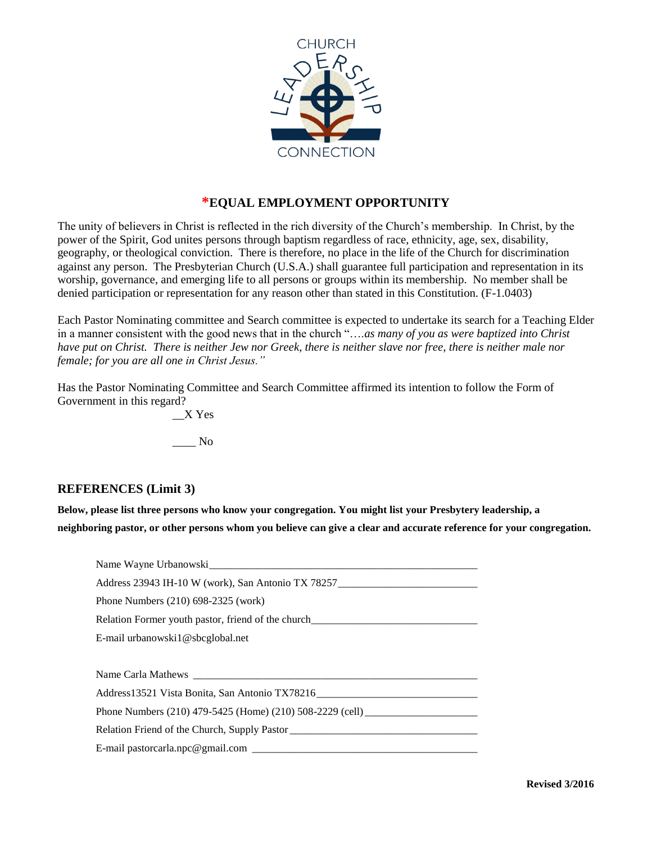

## **\*EQUAL EMPLOYMENT OPPORTUNITY**

The unity of believers in Christ is reflected in the rich diversity of the Church's membership. In Christ, by the power of the Spirit, God unites persons through baptism regardless of race, ethnicity, age, sex, disability, geography, or theological conviction. There is therefore, no place in the life of the Church for discrimination against any person. The Presbyterian Church (U.S.A.) shall guarantee full participation and representation in its worship, governance, and emerging life to all persons or groups within its membership. No member shall be denied participation or representation for any reason other than stated in this Constitution. (F-1.0403)

Each Pastor Nominating committee and Search committee is expected to undertake its search for a Teaching Elder in a manner consistent with the good news that in the church "….*as many of you as were baptized into Christ have put on Christ. There is neither Jew nor Greek, there is neither slave nor free, there is neither male nor female; for you are all one in Christ Jesus."*

Has the Pastor Nominating Committee and Search Committee affirmed its intention to follow the Form of Government in this regard?

> \_\_X Yes \_\_\_\_ No

### **REFERENCES (Limit 3)**

**Below, please list three persons who know your congregation. You might list your Presbytery leadership, a neighboring pastor, or other persons whom you believe can give a clear and accurate reference for your congregation.**

| Name Wayne Urbanowski                                                             |
|-----------------------------------------------------------------------------------|
| Address 23943 IH-10 W (work), San Antonio TX 78257 ______________________________ |
| Phone Numbers (210) 698-2325 (work)                                               |
| Relation Former youth pastor, friend of the church_______________________________ |
| E-mail urbanowski1@sbcglobal.net                                                  |
|                                                                                   |
|                                                                                   |
| Address13521 Vista Bonita, San Antonio TX78216 _________________________________  |
| Phone Numbers (210) 479-5425 (Home) (210) 508-2229 (cell)                         |
|                                                                                   |
|                                                                                   |